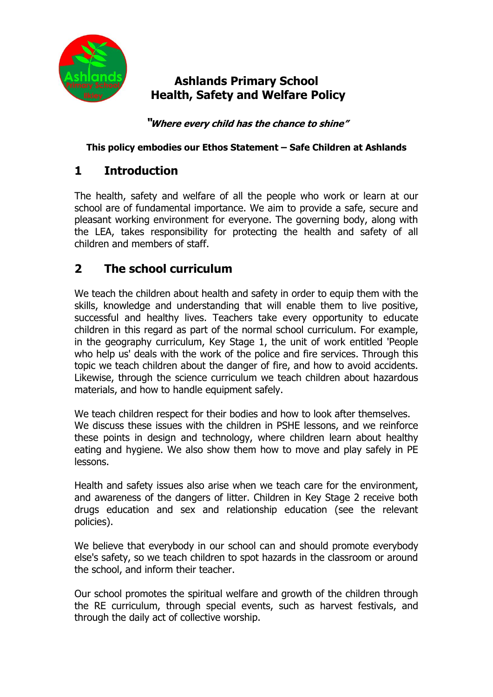

## **Ashlands Primary School Health, Safety and Welfare Policy**

**"Where every child has the chance to shine"**

#### **This policy embodies our Ethos Statement – Safe Children at Ashlands**

## **1 Introduction**

The health, safety and welfare of all the people who work or learn at our school are of fundamental importance. We aim to provide a safe, secure and pleasant working environment for everyone. The governing body, along with the LEA, takes responsibility for protecting the health and safety of all children and members of staff.

# **2 The school curriculum**

We teach the children about health and safety in order to equip them with the skills, knowledge and understanding that will enable them to live positive, successful and healthy lives. Teachers take every opportunity to educate children in this regard as part of the normal school curriculum. For example, in the geography curriculum, Key Stage 1, the unit of work entitled 'People who help us' deals with the work of the police and fire services. Through this topic we teach children about the danger of fire, and how to avoid accidents. Likewise, through the science curriculum we teach children about hazardous materials, and how to handle equipment safely.

We teach children respect for their bodies and how to look after themselves. We discuss these issues with the children in PSHE lessons, and we reinforce these points in design and technology, where children learn about healthy eating and hygiene. We also show them how to move and play safely in PE lessons.

Health and safety issues also arise when we teach care for the environment, and awareness of the dangers of litter. Children in Key Stage 2 receive both drugs education and sex and relationship education (see the relevant policies).

We believe that everybody in our school can and should promote everybody else's safety, so we teach children to spot hazards in the classroom or around the school, and inform their teacher.

Our school promotes the spiritual welfare and growth of the children through the RE curriculum, through special events, such as harvest festivals, and through the daily act of collective worship.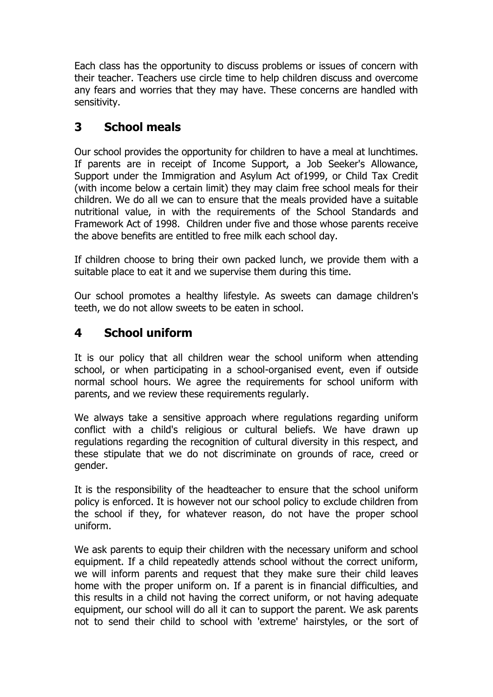Each class has the opportunity to discuss problems or issues of concern with their teacher. Teachers use circle time to help children discuss and overcome any fears and worries that they may have. These concerns are handled with sensitivity.

## **3 School meals**

Our school provides the opportunity for children to have a meal at lunchtimes. If parents are in receipt of Income Support, a Job Seeker's Allowance, Support under the Immigration and Asylum Act of1999, or Child Tax Credit (with income below a certain limit) they may claim free school meals for their children. We do all we can to ensure that the meals provided have a suitable nutritional value, in with the requirements of the School Standards and Framework Act of 1998. Children under five and those whose parents receive the above benefits are entitled to free milk each school day.

If children choose to bring their own packed lunch, we provide them with a suitable place to eat it and we supervise them during this time.

Our school promotes a healthy lifestyle. As sweets can damage children's teeth, we do not allow sweets to be eaten in school.

### **4 School uniform**

It is our policy that all children wear the school uniform when attending school, or when participating in a school-organised event, even if outside normal school hours. We agree the requirements for school uniform with parents, and we review these requirements regularly.

We always take a sensitive approach where regulations regarding uniform conflict with a child's religious or cultural beliefs. We have drawn up regulations regarding the recognition of cultural diversity in this respect, and these stipulate that we do not discriminate on grounds of race, creed or gender.

It is the responsibility of the headteacher to ensure that the school uniform policy is enforced. It is however not our school policy to exclude children from the school if they, for whatever reason, do not have the proper school uniform.

We ask parents to equip their children with the necessary uniform and school equipment. If a child repeatedly attends school without the correct uniform, we will inform parents and request that they make sure their child leaves home with the proper uniform on. If a parent is in financial difficulties, and this results in a child not having the correct uniform, or not having adequate equipment, our school will do all it can to support the parent. We ask parents not to send their child to school with 'extreme' hairstyles, or the sort of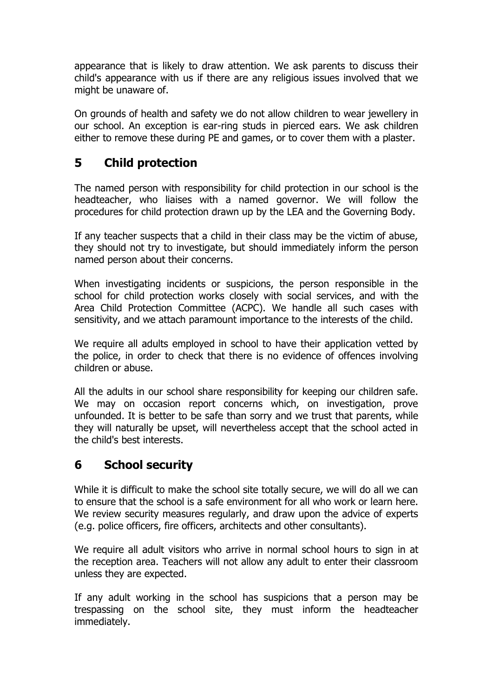appearance that is likely to draw attention. We ask parents to discuss their child's appearance with us if there are any religious issues involved that we might be unaware of.

On grounds of health and safety we do not allow children to wear jewellery in our school. An exception is ear-ring studs in pierced ears. We ask children either to remove these during PE and games, or to cover them with a plaster.

## **5 Child protection**

The named person with responsibility for child protection in our school is the headteacher, who liaises with a named governor. We will follow the procedures for child protection drawn up by the LEA and the Governing Body.

If any teacher suspects that a child in their class may be the victim of abuse, they should not try to investigate, but should immediately inform the person named person about their concerns.

When investigating incidents or suspicions, the person responsible in the school for child protection works closely with social services, and with the Area Child Protection Committee (ACPC). We handle all such cases with sensitivity, and we attach paramount importance to the interests of the child.

We require all adults employed in school to have their application vetted by the police, in order to check that there is no evidence of offences involving children or abuse.

All the adults in our school share responsibility for keeping our children safe. We may on occasion report concerns which, on investigation, prove unfounded. It is better to be safe than sorry and we trust that parents, while they will naturally be upset, will nevertheless accept that the school acted in the child's best interests.

# **6 School security**

While it is difficult to make the school site totally secure, we will do all we can to ensure that the school is a safe environment for all who work or learn here. We review security measures regularly, and draw upon the advice of experts (e.g. police officers, fire officers, architects and other consultants).

We require all adult visitors who arrive in normal school hours to sign in at the reception area. Teachers will not allow any adult to enter their classroom unless they are expected.

If any adult working in the school has suspicions that a person may be trespassing on the school site, they must inform the headteacher immediately.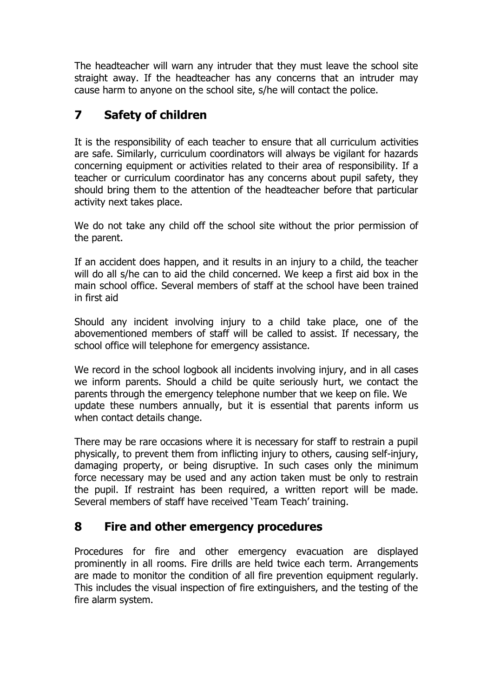The headteacher will warn any intruder that they must leave the school site straight away. If the headteacher has any concerns that an intruder may cause harm to anyone on the school site, s/he will contact the police.

# **7 Safety of children**

It is the responsibility of each teacher to ensure that all curriculum activities are safe. Similarly, curriculum coordinators will always be vigilant for hazards concerning equipment or activities related to their area of responsibility. If a teacher or curriculum coordinator has any concerns about pupil safety, they should bring them to the attention of the headteacher before that particular activity next takes place.

We do not take any child off the school site without the prior permission of the parent.

If an accident does happen, and it results in an injury to a child, the teacher will do all s/he can to aid the child concerned. We keep a first aid box in the main school office. Several members of staff at the school have been trained in first aid

Should any incident involving injury to a child take place, one of the abovementioned members of staff will be called to assist. If necessary, the school office will telephone for emergency assistance.

We record in the school logbook all incidents involving injury, and in all cases we inform parents. Should a child be quite seriously hurt, we contact the parents through the emergency telephone number that we keep on file. We update these numbers annually, but it is essential that parents inform us when contact details change.

There may be rare occasions where it is necessary for staff to restrain a pupil physically, to prevent them from inflicting injury to others, causing self-injury, damaging property, or being disruptive. In such cases only the minimum force necessary may be used and any action taken must be only to restrain the pupil. If restraint has been required, a written report will be made. Several members of staff have received 'Team Teach' training.

### **8 Fire and other emergency procedures**

Procedures for fire and other emergency evacuation are displayed prominently in all rooms. Fire drills are held twice each term. Arrangements are made to monitor the condition of all fire prevention equipment regularly. This includes the visual inspection of fire extinguishers, and the testing of the fire alarm system.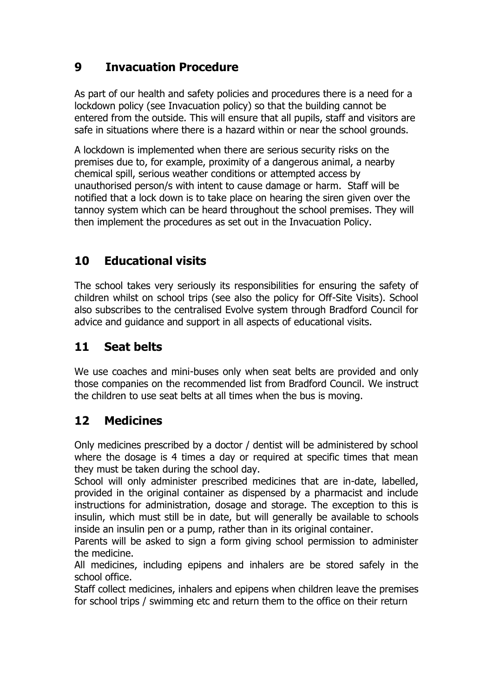# **9 Invacuation Procedure**

As part of our health and safety policies and procedures there is a need for a lockdown policy (see Invacuation policy) so that the building cannot be entered from the outside. This will ensure that all pupils, staff and visitors are safe in situations where there is a hazard within or near the school grounds.

A lockdown is implemented when there are serious security risks on the premises due to, for example, proximity of a dangerous animal, a nearby chemical spill, serious weather conditions or attempted access by unauthorised person/s with intent to cause damage or harm. Staff will be notified that a lock down is to take place on hearing the siren given over the tannoy system which can be heard throughout the school premises. They will then implement the procedures as set out in the Invacuation Policy.

# **10 Educational visits**

The school takes very seriously its responsibilities for ensuring the safety of children whilst on school trips (see also the policy for Off-Site Visits). School also subscribes to the centralised Evolve system through Bradford Council for advice and guidance and support in all aspects of educational visits.

## **11 Seat belts**

We use coaches and mini-buses only when seat belts are provided and only those companies on the recommended list from Bradford Council. We instruct the children to use seat belts at all times when the bus is moving.

### **12 Medicines**

Only medicines prescribed by a doctor / dentist will be administered by school where the dosage is 4 times a day or required at specific times that mean they must be taken during the school day.

School will only administer prescribed medicines that are in-date, labelled, provided in the original container as dispensed by a pharmacist and include instructions for administration, dosage and storage. The exception to this is insulin, which must still be in date, but will generally be available to schools inside an insulin pen or a pump, rather than in its original container.

Parents will be asked to sign a form giving school permission to administer the medicine.

All medicines, including epipens and inhalers are be stored safely in the school office.

Staff collect medicines, inhalers and epipens when children leave the premises for school trips / swimming etc and return them to the office on their return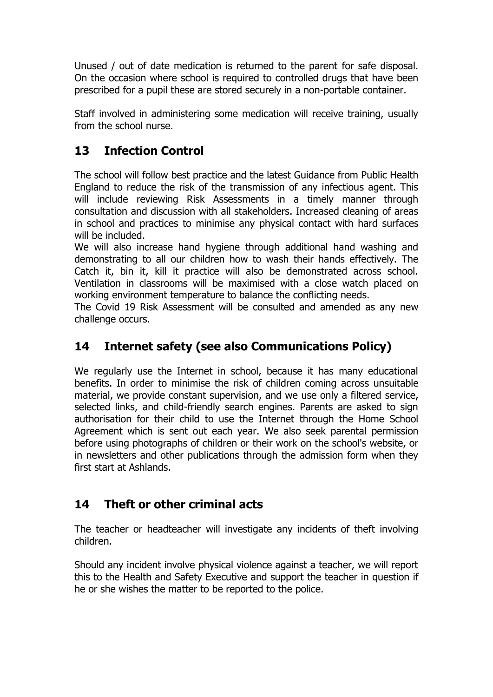Unused / out of date medication is returned to the parent for safe disposal. On the occasion where school is required to controlled drugs that have been prescribed for a pupil these are stored securely in a non-portable container.

Staff involved in administering some medication will receive training, usually from the school nurse.

# **13 Infection Control**

The school will follow best practice and the latest Guidance from Public Health England to reduce the risk of the transmission of any infectious agent. This will include reviewing Risk Assessments in a timely manner through consultation and discussion with all stakeholders. Increased cleaning of areas in school and practices to minimise any physical contact with hard surfaces will be included.

We will also increase hand hygiene through additional hand washing and demonstrating to all our children how to wash their hands effectively. The Catch it, bin it, kill it practice will also be demonstrated across school. Ventilation in classrooms will be maximised with a close watch placed on working environment temperature to balance the conflicting needs.

The Covid 19 Risk Assessment will be consulted and amended as any new challenge occurs.

# **14 Internet safety (see also Communications Policy)**

We regularly use the Internet in school, because it has many educational benefits. In order to minimise the risk of children coming across unsuitable material, we provide constant supervision, and we use only a filtered service, selected links, and child-friendly search engines. Parents are asked to sign authorisation for their child to use the Internet through the Home School Agreement which is sent out each year. We also seek parental permission before using photographs of children or their work on the school's website, or in newsletters and other publications through the admission form when they first start at Ashlands.

# **14 Theft or other criminal acts**

The teacher or headteacher will investigate any incidents of theft involving children.

Should any incident involve physical violence against a teacher, we will report this to the Health and Safety Executive and support the teacher in question if he or she wishes the matter to be reported to the police.